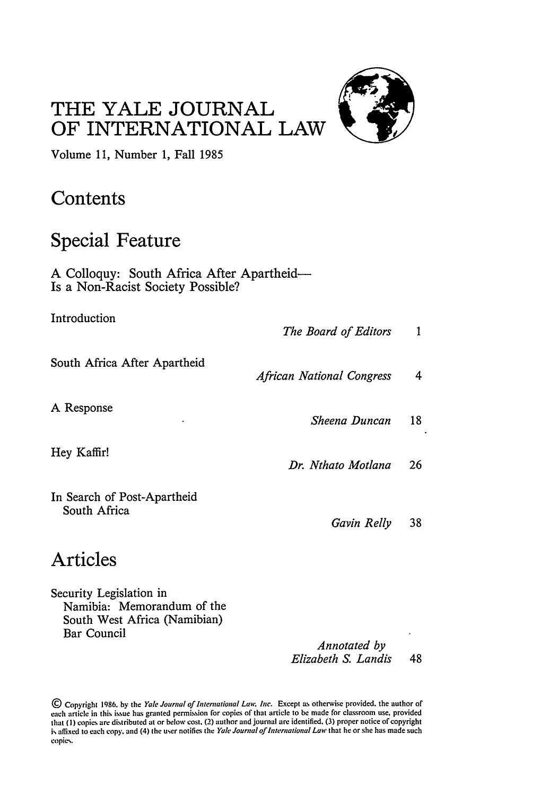## **THE YALE JOURNAL I OF INTERNATIONAL LAW**



Volume **11,** Number **1,** Fall **1985**

## **Contents**

## **Special Feature**

**A** Colloquy: South Africa After Apartheid-Is a Non-Racist Society Possible?

Introduction

|                                             | The Board of Editors             | 1  |
|---------------------------------------------|----------------------------------|----|
| South Africa After Apartheid                | <b>African National Congress</b> | 4  |
| A Response                                  | Sheena Duncan                    | 18 |
| Hey Kaffir!                                 | Dr. Nthato Motlana               | 26 |
| In Search of Post-Apartheid<br>South Africa | Gavin Relly                      | 38 |

## **Articles**

Security Legislation in Namibia: Memorandum of the South West Africa (Namibian) Bar Council

*Annotated by Elizabeth S. Landis* 48

 $\odot$  Copyright 1986. by the *Yale Journal of International Law. Inc.* Except as otherwise provided, the author of **each article in this issue has granted permission for copies of that article to be made for classroom use, provided that (I) copies are distributed at or below cost. (2) author and journal are identified. (3) proper notice of copyright is** affixed to each copy. and (4) the user notifies the *Yale* **Journal ofInternational Law** that he or she has made such copies.